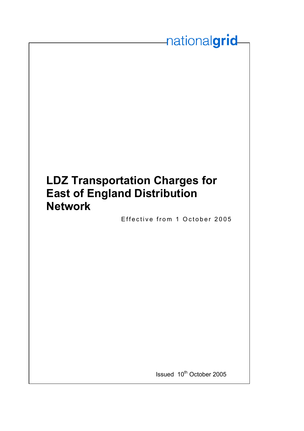# **LDZ Transportation Charges for East of England Distribution Network**

Effective from 1 October 2005

nationalgrid

Issued 10<sup>th</sup> October 2005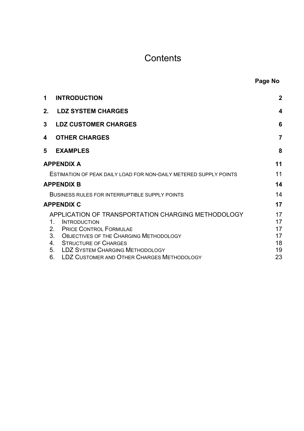# **Contents**

| Page No |  |
|---------|--|
|         |  |

| 1              | <b>INTRODUCTION</b>                                                                                                                                                                                                                            | $\overline{2}$                   |
|----------------|------------------------------------------------------------------------------------------------------------------------------------------------------------------------------------------------------------------------------------------------|----------------------------------|
|                | 2. LDZ SYSTEM CHARGES                                                                                                                                                                                                                          | 4                                |
| 3 <sup>7</sup> | <b>LDZ CUSTOMER CHARGES</b>                                                                                                                                                                                                                    | 6                                |
| 4              | <b>OTHER CHARGES</b>                                                                                                                                                                                                                           | $\overline{7}$                   |
| 5              | <b>EXAMPLES</b>                                                                                                                                                                                                                                | 8                                |
|                | <b>APPENDIX A</b>                                                                                                                                                                                                                              | 11                               |
|                | ESTIMATION OF PEAK DAILY LOAD FOR NON-DAILY METERED SUPPLY POINTS                                                                                                                                                                              | 11                               |
|                | <b>APPENDIX B</b>                                                                                                                                                                                                                              | 14                               |
|                | BUSINESS RULES FOR INTERRUPTIBLE SUPPLY POINTS                                                                                                                                                                                                 | 14                               |
|                | <b>APPENDIX C</b>                                                                                                                                                                                                                              | 17                               |
|                | APPLICATION OF TRANSPORTATION CHARGING METHODOLOGY<br>1.<br><b>INTRODUCTION</b><br><b>PRICE CONTROL FORMULAE</b><br>2.<br>3. OBJECTIVES OF THE CHARGING METHODOLOGY<br><b>STRUCTURE OF CHARGES</b><br>4.<br>5. LDZ SYSTEM CHARGING METHODOLOGY | 17<br>17<br>17<br>17<br>18<br>19 |
|                | 6. LDZ CUSTOMER AND OTHER CHARGES METHODOLOGY                                                                                                                                                                                                  | 23                               |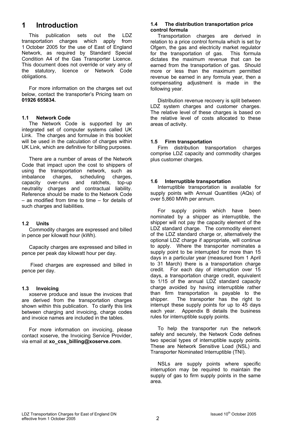# **1 Introduction**

This publication sets out the LDZ transportation charges which apply from 1 October 2005 for the use of East of England Network, as required by Standard Special Condition A4 of the Gas Transporter Licence. This document does not override or vary any of the statutory, licence or Network Code obligations.

For more information on the charges set out below, contact the transporter's Pricing team on **01926 655834.**

# **1.1 Network Code**

The Network Code is supported by an integrated set of computer systems called UK Link. The charges and formulae in this booklet will be used in the calculation of charges within UK Link, which are definitive for billing purposes.

There are a number of areas of the Network Code that impact upon the cost to shippers of using the transportation network, such as imbalance charges, scheduling charges, capacity over-runs and ratchets, top-up neutrality charges and contractual liability. Reference should be made to the Network Code – as modified from time to time – for details of such charges and liabilities.

# **1.2 Units**

Commodity charges are expressed and billed in pence per kilowatt hour (kWh).

Capacity charges are expressed and billed in pence per peak day kilowatt hour per day.

 Fixed charges are expressed and billed in pence per day.

# **1.3 Invoicing**

xoserve produce and issue the invoices that are derived from the transportation charges shown within this publication. To clarify this link between charging and invoicing, charge codes and invoice names are included in the tables.

For more information on invoicing, please contact xoserve, the Invoicing Service Provider, via email at **xo\_css\_billing@xoserve.com**.

# **1.4 The distribution transportation price control formula**

Transportation charges are derived in relation to a price control formula which is set by Ofgem, the gas and electricity market regulator for the transportation of gas. This formula dictates the maximum revenue that can be earned from the transportation of gas. Should more or less than the maximum permitted revenue be earned in any formula year, then a compensating adjustment is made in the following year.

Distribution revenue recovery is split between LDZ system charges and customer charges. The relative level of these charges is based on the relative level of costs allocated to these areas of activity.

# **1.5 Firm transportation**

Firm distribution transportation charges comprise LDZ capacity and commodity charges plus customer charges.

# **1.6 Interruptible transportation**

Interruptible transportation is available for supply points with Annual Quantities (AQs) of over 5,860 MWh per annum.

For supply points which have been nominated by a shipper as interruptible, the shipper will not pay the capacity element of the LDZ standard charge. The commodity element of the LDZ standard charge or, alternatively the optional LDZ charge if appropriate, will continue to apply. Where the transporter nominates a supply point to be interrupted for more than 15 days in a particular year (measured from 1 April to 31 March) there is a transportation charge credit. For each day of interruption over 15 days, a transportation charge credit, equivalent to 1/15 of the annual LDZ standard capacity charge avoided by having interruptible rather than firm transportation is payable to the shipper. The transporter has the right to interrupt these supply points for up to 45 days each year. Appendix B details the business rules for interruptible supply points.

To help the transporter run the network safely and securely, the Network Code defines two special types of interruptible supply points. These are Network Sensitive Load (NSL) and Transporter Nominated Interruptible (TNI).

NSLs are supply points where specific interruption may be required to maintain the supply of gas to firm supply points in the same area.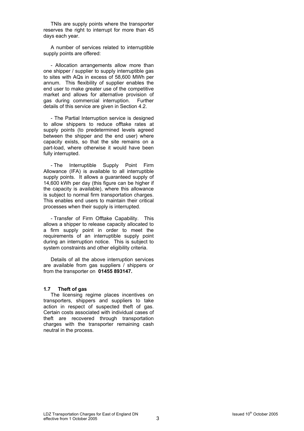TNIs are supply points where the transporter reserves the right to interrupt for more than 45 days each year.

A number of services related to interruptible supply points are offered:

- Allocation arrangements allow more than one shipper / supplier to supply interruptible gas to sites with AQs in excess of 58,600 MWh per annum. This flexibility of supplier enables the end user to make greater use of the competitive market and allows for alternative provision of gas during commercial interruption. Further details of this service are given in Section 4.2.

- The Partial Interruption service is designed to allow shippers to reduce offtake rates at supply points (to predetermined levels agreed between the shipper and the end user) where capacity exists, so that the site remains on a part-load, where otherwise it would have been fully interrupted.

- The Interruptible Supply Point Firm Allowance (IFA) is available to all interruptible supply points. It allows a quaranteed supply of 14,600 kWh per day (this figure can be higher if the capacity is available), where this allowance is subject to normal firm transportation charges. This enables end users to maintain their critical processes when their supply is interrupted.

- Transfer of Firm Offtake Capability. This allows a shipper to release capacity allocated to a firm supply point in order to meet the requirements of an interruptible supply point during an interruption notice. This is subject to system constraints and other eligibility criteria.

Details of all the above interruption services are available from gas suppliers / shippers or from the transporter on **01455 893147.**

### **1.7 Theft of gas**

The licensing regime places incentives on transporters, shippers and suppliers to take action in respect of suspected theft of gas. Certain costs associated with individual cases of theft are recovered through transportation charges with the transporter remaining cash neutral in the process.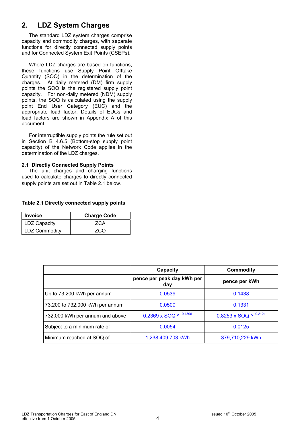# **2. LDZ System Charges**

The standard LDZ system charges comprise capacity and commodity charges, with separate functions for directly connected supply points and for Connected System Exit Points (CSEPs).

Where LDZ charges are based on functions, these functions use Supply Point Offtake Quantity (SOQ) in the determination of the charges. At daily metered (DM) firm supply points the SOQ is the registered supply point capacity. For non-daily metered (NDM) supply points, the SOQ is calculated using the supply point End User Category (EUC) and the appropriate load factor. Details of EUCs and load factors are shown in Appendix A of this document.

For interruptible supply points the rule set out in Section B 4.6.5 (Bottom-stop supply point capacity) of the Network Code applies in the determination of the LDZ charges.

# **2.1 Directly Connected Supply Points**

 The unit charges and charging functions used to calculate charges to directly connected supply points are set out in Table 2.1 below.

# **Table 2.1 Directly connected supply points**

| <b>Invoice</b>      | <b>Charge Code</b> |
|---------------------|--------------------|
| <b>LDZ Capacity</b> | ZCA                |
| LDZ Commodity       | 7CO                |

|                                 | Capacity                          | Commodity              |
|---------------------------------|-----------------------------------|------------------------|
|                                 | pence per peak day kWh per<br>day | pence per kWh          |
| Up to 73,200 kWh per annum      | 0.0539                            | 0.1438                 |
| 73,200 to 732,000 kWh per annum | 0.0500                            | 0.1331                 |
| 732,000 kWh per annum and above | 0.2369 x SOQ ^ -0.1806            | 0.8253 x SOQ ^ -0.2121 |
| Subject to a minimum rate of    | 0.0054                            | 0.0125                 |
| Minimum reached at SOQ of       | 1,238,409,703 kWh                 | 379,710,229 kWh        |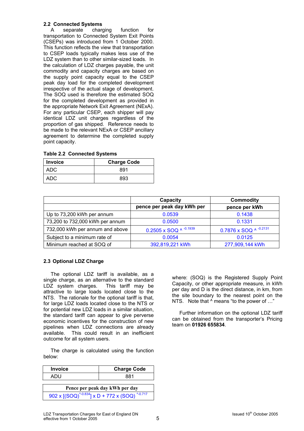# **2.2 Connected Systems**

A separate charging function for transportation to Connected System Exit Points (CSEPs) was introduced from 1 October 2000. This function reflects the view that transportation to CSEP loads typically makes less use of the LDZ system than to other similar-sized loads. In the calculation of LDZ charges payable, the unit commodity and capacity charges are based on the supply point capacity equal to the CSEP peak day load for the completed development irrespective of the actual stage of development. The SOQ used is therefore the estimated SOQ for the completed development as provided in the appropriate Network Exit Agreement (NExA). For any particular CSEP, each shipper will pay identical LDZ unit charges regardless of the proportion of gas shipped. Reference needs to be made to the relevant NExA or CSEP ancillary agreement to determine the completed supply point capacity.

|  | <b>Table 2.2 Connected Systems</b> |  |
|--|------------------------------------|--|
|--|------------------------------------|--|

| <b>Invoice</b> | <b>Charge Code</b> |
|----------------|--------------------|
| ADC            | 891                |
| ADC            | 893                |

|                                 | Capacity<br>Commodity        |                              |
|---------------------------------|------------------------------|------------------------------|
|                                 | pence per peak day kWh per   | pence per kWh                |
| Up to 73,200 kWh per annum      | 0.0539                       | 0.1438                       |
| 73,200 to 732,000 kWh per annum | 0.0500                       | 0.1331                       |
| 732,000 kWh per annum and above | 0.2505 x SOQ $\land$ -0.1939 | 0.7876 x SOQ $\land$ -0.2131 |
| Subject to a minimum rate of    | 0.0054                       | 0.0125                       |
| Minimum reached at SOQ of       | 392,819,221 kWh              | 277,909,144 kWh              |

# **2.3 Optional LDZ Charge**

The optional LDZ tariff is available, as a single charge, as an alternative to the standard LDZ system charges. This tariff may be attractive to large loads located close to the NTS. The rationale for the optional tariff is that, for large LDZ loads located close to the NTS or for potential new LDZ loads in a similar situation, the standard tariff can appear to give perverse economic incentives for the construction of new pipelines when LDZ connections are already available. This could result in an inefficient outcome for all system users.

The charge is calculated using the function below:

| <b>Invoice</b>                                          | <b>Charge Code</b> |
|---------------------------------------------------------|--------------------|
| ADU                                                     | 881                |
| Pence per peak day kWh per day                          |                    |
| 902 x $[(SOQ)^{4.0.834}]$ x D + 772 x $(SOQ)^{4.0.717}$ |                    |

where: (SOQ) is the Registered Supply Point Capacity, or other appropriate measure, in kWh per day and D is the direct distance, in km, from the site boundary to the nearest point on the NTS. Note that  $\wedge$  means "to the power of ..."

Further information on the optional LDZ tariff can be obtained from the transporter's Pricing team on **01926 655834**.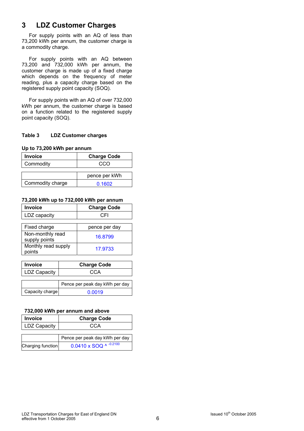# **3 LDZ Customer Charges**

For supply points with an AQ of less than 73,200 kWh per annum, the customer charge is a commodity charge.

For supply points with an AQ between 73,200 and 732,000 kWh per annum, the customer charge is made up of a fixed charge which depends on the frequency of meter reading, plus a capacity charge based on the registered supply point capacity (SOQ).

For supply points with an AQ of over 732,000 kWh per annum, the customer charge is based on a function related to the registered supply point capacity (SOQ).

# **Table 3 LDZ Customer charges**

**Up to 73,200 kWh per annum** 

| <b>Invoice</b>   | <b>Charge Code</b> |
|------------------|--------------------|
| Commodity        | cco                |
|                  |                    |
|                  | pence per kWh      |
| Commodity charge | 0.1602             |

# **73,200 kWh up to 732,000 kWh per annum**

| <b>Invoice</b>                    | <b>Charge Code</b> |
|-----------------------------------|--------------------|
| LDZ capacity                      | CEI                |
|                                   |                    |
| Fixed charge                      | pence per day      |
| Non-monthly read<br>supply points | 16.8799            |
| Monthly read supply<br>points     | 17.9733            |

| <b>Invoice</b>      | <b>Charge Code</b>             |
|---------------------|--------------------------------|
| <b>LDZ Capacity</b> | CCA                            |
|                     |                                |
|                     | Pence per peak day kWh per day |
| Capacity charge     | 0.0019                         |

# **732,000 kWh per annum and above**

| <b>Invoice</b>      | <b>Charge Code</b>              |
|---------------------|---------------------------------|
| <b>LDZ Capacity</b> | CCA                             |
|                     | Pence per peak day kWh per day  |
| Charging function   | $0.0410 \times SOQ$ ^ $-0.2100$ |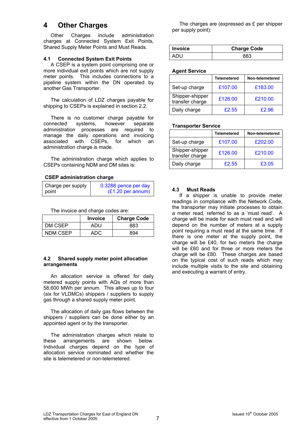# **4 Other Charges**

Other Charges include administration charges at Connected System Exit Points, Shared Supply Meter Points and Must Reads.

# **4.1 Connected System Exit Points**

A CSEP is a system point comprising one or more individual exit points which are not supply meter points. This includes connections to a pipeline system within the DN operated by another Gas Transporter.

The calculation of LDZ charges payable for shipping to CSEPs is explained in section 2.2.

There is no customer charge payable for connected systems, however separate administration processes are required to manage the daily operations and invoicing associated with CSEPs, for which an administration charge is made.

The administration charge which applies to CSEPs containing NDM and DM sites is:

# **CSEP administration charge**

| Charge per supply | 0.3288 pence per day        |
|-------------------|-----------------------------|
| point             | $(E1.20 \text{ per annum})$ |

The invoice and charge codes are:

|          | <b>Invoice</b> | <b>Charge Code</b> |
|----------|----------------|--------------------|
| DM CSEP  | ADU            | 883                |
| NDM CSEP | ADC            | 894                |

# **4.2 Shared supply meter point allocation arrangements**

An allocation service is offered for daily metered supply points with AQs of more than 58,600 MWh per annum. This allows up to four (six for VLDMCs) shippers / suppliers to supply gas through a shared supply meter point.

The allocation of daily gas flows between the shippers / suppliers can be done either by an appointed agent or by the transporter.

The administration charges which relate to these arrangements are shown below. Individual charges depend on the type of allocation service nominated and whether the site is telemetered or non-telemetered.

The charges are (expressed as £ per shipper per supply point):

| <b>Invoice</b> | <b>Charge Code</b> |
|----------------|--------------------|
|                |                    |

### **Agent Service**

|                                    | Telemetered | Non-telemetered |
|------------------------------------|-------------|-----------------|
| Set-up charge                      | £107.00     | £183.00         |
| Shipper-shipper<br>transfer charge | £126.00     | £210.00         |
| Daily charge                       | £2.55       | £2.96           |

### **Transporter Service**

|                                    | <b>Telemetered</b> | Non-telemetered |
|------------------------------------|--------------------|-----------------|
| Set-up charge                      | £107.00            | £202.00         |
| Shipper-shipper<br>transfer charge | £126.00            | £210.00         |
| Daily charge                       | £2.55              | £3.05           |

# **4.3 Must Reads**

If a shipper is unable to provide meter readings in compliance with the Network Code, the transporter may initiate processes to obtain a meter read, referred to as a 'must read'. A charge will be made for each must read and will depend on the number of meters at a supply point requiring a must read at the same time. If there is one meter at the supply point, the charge will be £40, for two meters the charge will be £60 and for three or more meters the charge will be £80. These charges are based on the typical cost of such reads which may include multiple visits to the site and obtaining and executing a warrant of entry.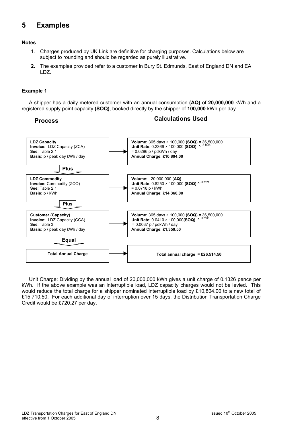# **5 Examples**

# **Notes**

- 1. Charges produced by UK Link are definitive for charging purposes. Calculations below are subject to rounding and should be regarded as purely illustrative.
- **2.** The examples provided refer to a customer in Bury St. Edmunds, East of England DN and EA LDZ.

# **Example 1**

A shipper has a daily metered customer with an annual consumption **(AQ)** of **20,000,000** kWh and a registered supply point capacity **(SOQ)**, booked directly by the shipper of **100,000** kWh per day.

# **Process Calculations Used**



Unit Charge: Dividing by the annual load of 20,000,000 kWh gives a unit charge of 0.1326 pence per kWh. If the above example was an interruptible load, LDZ capacity charges would not be levied. This would reduce the total charge for a shipper nominated interruptible load by £10,804.00 to a new total of £15,710.50. For each additional day of interruption over 15 days, the Distribution Transportation Charge Credit would be £720.27 per day.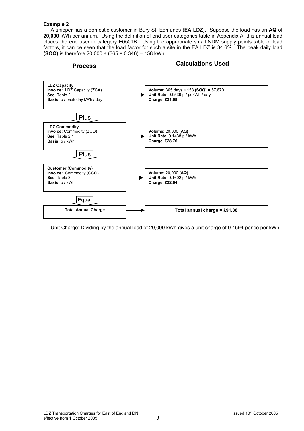### **Example 2**

A shipper has a domestic customer in Bury St. Edmunds (**EA LDZ**). Suppose the load has an **AQ** of **20,000** kWh per annum. Using the definition of end user categories table in Appendix A, this annual load places the end user in category E0501B. Using the appropriate small NDM supply points table of load factors, it can be seen that the load factor for such a site in the EA LDZ is 34.6%. The peak daily load **(SOQ)** is therefore  $20,000 \div (365 \times 0.346) = 158$  kWh.



Unit Charge: Dividing by the annual load of 20,000 kWh gives a unit charge of 0.4594 pence per kWh.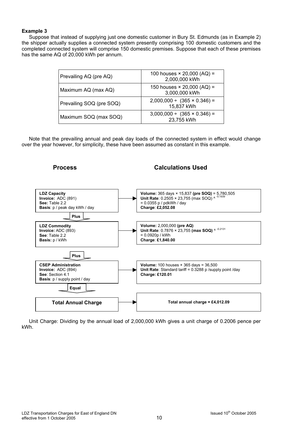# **Example 3**

Suppose that instead of supplying just one domestic customer in Bury St. Edmunds (as in Example 2) the shipper actually supplies a connected system presently comprising 100 domestic customers and the completed connected system will comprise 150 domestic premises. Suppose that each of these premises has the same AQ of 20,000 kWh per annum.

| Prevailing AQ (pre AQ)   | 100 houses $\times$ 20,000 (AQ) =<br>2,000,000 kWh  |
|--------------------------|-----------------------------------------------------|
| Maximum AQ (max AQ)      | 150 houses $\times$ 20,000 (AQ) =<br>3,000,000 kWh  |
| Prevailing SOQ (pre SOQ) | $2,000,000 \div (365 \times 0.346) =$<br>15,837 kWh |
| Maximum SOQ (max SOQ)    | $3,000,000 \div (365 \times 0.346) =$<br>23,755 kWh |

Note that the prevailing annual and peak day loads of the connected system in effect would change over the year however, for simplicity, these have been assumed as constant in this example.



Unit Charge: Dividing by the annual load of 2,000,000 kWh gives a unit charge of 0.2006 pence per kWh.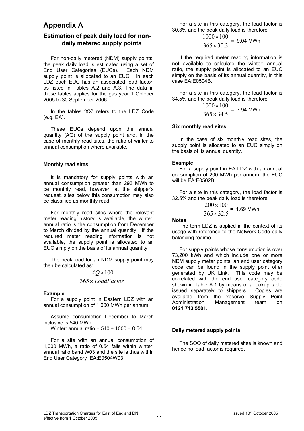# **Appendix A**

# **Estimation of peak daily load for nondaily metered supply points**

For non-daily metered (NDM) supply points, the peak daily load is estimated using a set of End User Categories (EUCs). Each NDM supply point is allocated to an EUC. In each LDZ each EUC has an associated load factor. as listed in Tables A.2 and A.3. The data in these tables applies for the gas year 1 October 2005 to 30 September 2006.

In the tables 'XX' refers to the LDZ Code (e.g. EA).

These EUCs depend upon the annual quantity (AQ) of the supply point and, in the case of monthly read sites, the ratio of winter to annual consumption where available.

### **Monthly read sites**

It is mandatory for supply points with an annual consumption greater than 293 MWh to be monthly read, however, at the shipper's request, sites below this consumption may also be classified as monthly read.

For monthly read sites where the relevant meter reading history is available, the winter: annual ratio is the consumption from December to March divided by the annual quantity. If the required meter reading information is not available, the supply point is allocated to an EUC simply on the basis of its annual quantity.

The peak load for an NDM supply point may then be calculated as:

$$
\frac{AQ \times 100}{365 \times LoadFactor}
$$

### **Example**

For a supply point in Eastern LDZ with an annual consumption of 1,000 MWh per annum.

Assume consumption December to March inclusive is 540 MWh.

Winter: annual ratio =  $540 \div 1000 = 0.54$ 

For a site with an annual consumption of 1,000 MWh, a ratio of 0.54 falls within winter: annual ratio band W03 and the site is thus within End User Category EA:E0504W03.

For a site in this category, the load factor is 30.3% and the peak daily load is therefore

$$
\frac{1000 \times 100}{365 \times 30.3} = 9.04 \text{ MWh}
$$

If the required meter reading information is not available to calculate the winter: annual ratio, the supply point is allocated to an EUC simply on the basis of its annual quantity, in this case EA:E0504B.

For a site in this category, the load factor is 34.5% and the peak daily load is therefore

$$
\frac{1000 \times 100}{365 \times 34.5}
$$
 = 7.94 MWh

### **Six monthly read sites**

In the case of six monthly read sites, the supply point is allocated to an EUC simply on the basis of its annual quantity.

### **Example**

For a supply point in EA LDZ with an annual consumption of 200 MWh per annum, the EUC will be EA:E0502B.

For a site in this category, the load factor is 32.5% and the peak daily load is therefore

$$
\frac{200 \times 100}{365 \times 32.5}
$$
 = 1.69 MWh

### **Notes**

The term LDZ is applied in the context of its usage with reference to the Network Code daily balancing regime.

For supply points whose consumption is over 73,200 kWh and which include one or more NDM supply meter points, an end user category code can be found in the supply point offer generated by UK Link. This code may be correlated with the end user category code shown in Table A.1 by means of a lookup table issued separately to shippers. Copies are available from the xoserve Supply Point Administration Management team on **0121 713 5501.**

### **Daily metered supply points**

The SOQ of daily metered sites is known and hence no load factor is required.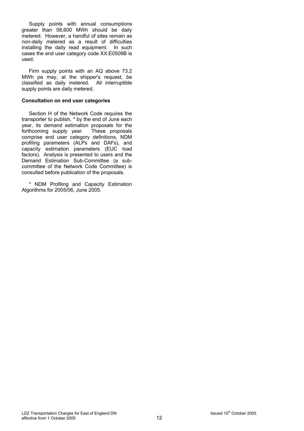Supply points with annual consumptions greater than 58,600 MWh should be daily metered. However, a handful of sites remain as non-daily metered as a result of difficulties installing the daily read equipment. In such cases the end user category code XX:E0509B is used.

Firm supply points with an AQ above 73.2 MWh pa may, at the shipper's request, be classified as daily metered. All interruptible supply points are daily metered.

# **Consultation on end user categories**

Section H of the Network Code requires the transporter to publish, \* by the end of June each year, its demand estimation proposals for the forthcoming supply year. These proposals comprise end user category definitions, NDM profiling parameters (ALPs and DAFs), and capacity estimation parameters (EUC load factors). Analysis is presented to users and the Demand Estimation Sub-Committee (a subcommittee of the Network Code Committee) is consulted before publication of the proposals.

\* NDM Profiling and Capacity Estimation Algorithms for 2005/06, June 2005.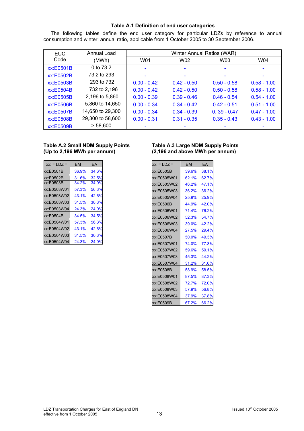# **Table A.1 Definition of end user categories**

The following tables define the end user category for particular LDZs by reference to annual consumption and winter: annual ratio, applicable from 1 October 2005 to 30 September 2006.

| <b>EUC</b> | Annual Load      |               | Winter Annual Ratios (WAR) |               |               |
|------------|------------------|---------------|----------------------------|---------------|---------------|
| Code       | (MWh)            | W01           | W02                        | W03           | W04           |
| xx:E0501B  | 0 to 73.2        |               |                            |               |               |
| xx:E0502B  | 73.2 to 293      |               |                            |               |               |
| xx:E0503B  | 293 to 732       | $0.00 - 0.42$ | $0.42 - 0.50$              | $0.50 - 0.58$ | $0.58 - 1.00$ |
| xx:E0504B  | 732 to 2,196     | $0.00 - 0.42$ | $0.42 - 0.50$              | $0.50 - 0.58$ | $0.58 - 1.00$ |
| xx:E0505B  | 2,196 to 5,860   | $0.00 - 0.39$ | $0.39 - 0.46$              | $0.46 - 0.54$ | $0.54 - 1.00$ |
| xx:E0506B  | 5,860 to 14,650  | $0.00 - 0.34$ | $0.34 - 0.42$              | $0.42 - 0.51$ | $0.51 - 1.00$ |
| xx:E0507B  | 14,650 to 29,300 | $0.00 - 0.34$ | $0.34 - 0.39$              | $0.39 - 0.47$ | $0.47 - 1.00$ |
| xx:E0508B  | 29,300 to 58,600 | $0.00 - 0.31$ | $0.31 - 0.35$              | $0.35 - 0.43$ | $0.43 - 1.00$ |
| xx:E0509B  | > 58,600         |               |                            |               |               |

| $xx: = LDZ =$ | EM    | FA    |
|---------------|-------|-------|
| xx:E0501B     | 36.9% | 34.6% |
| xx:E0502B     | 31.6% | 32.5% |
| xx:E0503B     | 34.2% | 34.0% |
| xx:E0503W01   | 57.3% | 56.3% |
| xx:E0503W02   | 43.1% | 42.6% |
| xx:E0503W03   | 31.5% | 30.3% |
| xx:E0503W04   | 24.3% | 24.0% |
| xx:E0504B     | 34.5% | 34.5% |
| xx:E0504W01   | 57 3% | 56.3% |
| xx:E0504W02   | 43.1% | 42.6% |
| xx:E0504W03   | 31.5% | 30.3% |
| xx:E0504W04   | 24.3% | 24.0% |

# **Table A.2 Small NDM Supply Points Table A.3 Large NDM Supply Points (Up to 2,196 MWh per annum) (2,196 and above MWh per annum)**

| xx: = LDZ = | <b>EM</b> | EA    |
|-------------|-----------|-------|
| xx:E0505B   | 39.6%     | 38.1% |
| xx:E0505W01 | 62.1%     | 62.7% |
| xx:E0505W02 | 46.2%     | 47.1% |
| xx:E0505W03 | 36.2%     | 36.2% |
| xx:E0505W04 | 25.9%     | 25.9% |
| xx:E0506B   | 44.9%     | 42.0% |
| xx:E0506W01 | 71.4%     | 76.2% |
| xx:E0506W02 | 52.3%     | 54.7% |
| xx:E0506W03 | 39.0%     | 42.2% |
| xx:E0506W04 | 27.5%     | 29.4% |
| xx:E0507B   | 50.0%     | 49.3% |
| xx:E0507W01 | 74.0%     | 77.3% |
| xx:E0507W02 | 59.6%     | 59.1% |
| xx:E0507W03 | 45.3%     | 44.2% |
| xx:E0507W04 | 31.2%     | 31.6% |
| xx:E0508B   | 58.9%     | 58.5% |
| xx:E0508W01 | 87.5%     | 87.3% |
| xx:E0508W02 | 72.7%     | 72.0% |
| xx:E0508W03 | 57.9%     | 56.8% |
| xx:E0508W04 | 37.9%     | 37.8% |
| xx:E0509B   | 67.2%     | 66.2% |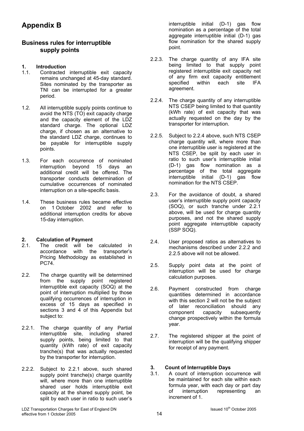# **Appendix B**

# **Business rules for interruptible supply points**

# **1. Introduction**

- 1.1. Contracted interruptible exit capacity remains unchanged at 45-day standard. Sites nominated by the transporter as TNI can be interrupted for a greater period.
- 1.2. All interruptible supply points continue to avoid the NTS (TO) exit capacity charge and the capacity element of the LDZ standard charge. The optional LDZ charge, if chosen as an alternative to the standard LDZ charge, continues to be payable for interruptible supply points.
- 1.3. For each occurrence of nominated interruption beyond 15 days an additional credit will be offered. The transporter conducts determination of cumulative occurrences of nominated interruption on a site-specific basis.
- 1.4. These business rules became effective on 1 October 2002 and refer to additional interruption credits for above 15-day interruption.

# **2. Calculation of Payment**

- 2.1. The credit will be calculated in accordance with the transporter's Pricing Methodology as established in PC74.
- 2.2. The charge quantity will be determined from the supply point registered interruptible exit capacity (SOQ) at the point of interruption multiplied by those qualifying occurrences of interruption in excess of 15 days as specified in sections 3 and 4 of this Appendix but subject to:
- 2.2.1. The charge quantity of any Partial interruptible site, including shared supply points, being limited to that quantity (kWh rate) of exit capacity tranche(s) that was actually requested by the transporter for interruption.
- 2.2.2. Subject to 2.2.1 above, such shared supply point tranche(s) charge quantity will, where more than one interruptible shared user holds interruptible exit capacity at the shared supply point, be split by each user in ratio to such user's

interruptible initial (D-1) gas flow nomination as a percentage of the total aggregate interruptible initial (D-1) gas flow nomination for the shared supply point.

- 2.2.3. The charge quantity of any IFA site being limited to that supply point registered interruptible exit capacity net of any firm exit capacity entitlement specified within each site IFA agreement.
- 2.2.4. The charge quantity of any interruptible NTS CSEP being limited to that quantity (kWh rate) of exit capacity that was actually requested on the day by the transporter for interruption.
- 2.2.5. Subject to 2.2.4 above, such NTS CSEP charge quantity will, where more than one interruptible user is registered at the NTS CSEP, be split by each user in ratio to such user's interruptible initial (D-1) gas flow nomination as a percentage of the total aggregate interruptible initial (D-1) gas flow nomination for the NTS CSEP.
- 2.3. For the avoidance of doubt, a shared user's interruptible supply point capacity (SOQ), or such tranche under 2.2.1 above, will be used for charge quantity purposes, and not the shared supply point aggregate interruptible capacity (SSP SOQ).
- 2.4. User proposed ratios as alternatives to mechanisms described under 2.2.2 and 2.2.5 above will not be allowed.
- 2.5. Supply point data at the point of interruption will be used for charge calculation purposes.
- 2.6. Payment constructed from charge quantities determined in accordance with this section 2 will not be the subject of later reconciliation should any component capacity subsequently change prospectively within the formula year.
- 2.7. The registered shipper at the point of interruption will be the qualifying shipper for receipt of any payment.

# **3. Count of Interruptible Days**

A count of interruption occurrence will be maintained for each site within each formula year, with each day or part day<br>of interruption representing an of interruption representing an increment of 1.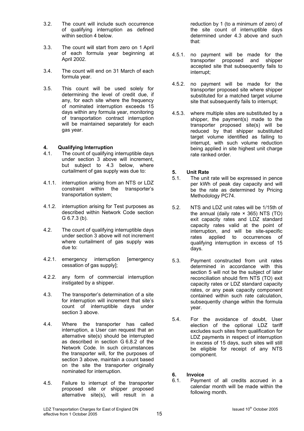- 3.2. The count will include such occurrence of qualifying interruption as defined within section 4 below.
- 3.3. The count will start from zero on 1 April of each formula year beginning at April 2002.
- 3.4. The count will end on 31 March of each formula year.
- 3.5. This count will be used solely for determining the level of credit due, if any, for each site where the frequency of nominated interruption exceeds 15 days within any formula year, monitoring of transportation contract interruption will be maintained separately for each gas year.

# **4. Qualifying Interruption**

- 4.1. The count of qualifying interruptible days under section 3 above will increment, but subject to 4.3 below, where curtailment of gas supply was due to:
- 4.1.1. interruption arising from an NTS or LDZ constraint within the transporter's transportation system;
- 4.1.2. interruption arising for Test purposes as described within Network Code section G 6.7.3 (b).
- 4.2. The count of qualifying interruptible days under section 3 above will not increment where curtailment of gas supply was due to:
- 4.2.1. emergency interruption [emergency cessation of gas supply];
- 4.2.2. any form of commercial interruption instigated by a shipper.
- 4.3. The transporter's determination of a site for interruption will increment that site's count of interruptible days under section 3 above.
- 4.4. Where the transporter has called interruption, a User can request that an alternative site(s) should be interrupted as described in section G 6.8.2 of the Network Code. In such circumstances the transporter will, for the purposes of section 3 above, maintain a count based on the site the transporter originally nominated for interruption.
- 4.5. Failure to interrupt of the transporter proposed site or shipper proposed alternative site(s), will result in a

reduction by 1 (to a minimum of zero) of the site count of interruptible days determined under 4.3 above and such that:

- 4.5.1. no payment will be made for the transporter proposed and shipper accepted site that subsequently fails to interrupt;
- 4.5.2. no payment will be made for the transporter proposed site where shipper substituted for a matched target volume site that subsequently fails to interrupt;
- 4.5.3. where multiple sites are substituted by a shipper, the payment(s) made to the transporter proposed site(s) will be reduced by that shipper substituted target volume identified as failing to interrupt, with such volume reduction being applied in site highest unit charge rate ranked order.

# **5. Unit Rate**<br>**5.1.** The unit

- The unit rate will be expressed in pence per kWh of peak day capacity and will be the rate as determined by Pricing Methodology PC74.
- 5.2. NTS and LDZ unit rates will be 1/15th of the annual (daily rate  $\times$  365) NTS (TO) exit capacity rates and LDZ standard capacity rates valid at the point of interruption, and will be site-specific rates applied to occurrences of qualifying interruption in excess of 15 days.
- 5.3. Payment constructed from unit rates determined in accordance with this section 5 will not be the subject of later reconciliation should firm NTS (TO) exit capacity rates or LDZ standard capacity rates, or any peak capacity component contained within such rate calculation, subsequently change within the formula year.
- 5.4. For the avoidance of doubt, User election of the optional LDZ tariff excludes such sites from qualification for LDZ payments in respect of interruption in excess of 15 days, such sites will still be eligible for receipt of any NTS component.
- **6. Invoice**
- 6.1. Payment of all credits accrued in a calendar month will be made within the following month.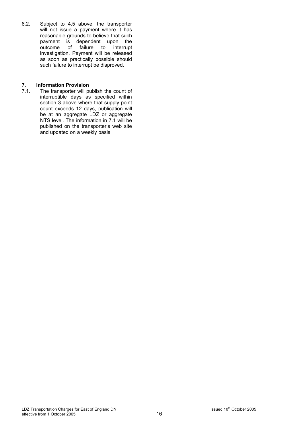6.2. Subject to 4.5 above, the transporter will not issue a payment where it has reasonable grounds to believe that such payment is dependent upon the<br>outcome of failure to interrupt program to response investigation. Payment will be released as soon as practically possible should such failure to interrupt be disproved.

# **7. Information Provision**<br>**7.1.** The transporter will po

The transporter will publish the count of interruptible days as specified within section 3 above where that supply point count exceeds 12 days, publication will be at an aggregate LDZ or aggregate NTS level. The information in 7.1 will be published on the transporter's web site and updated on a weekly basis.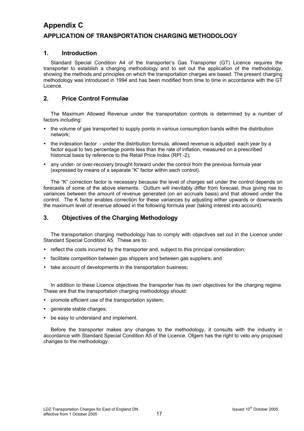# **Appendix C APPLICATION OF TRANSPORTATION CHARGING METHODOLOGY**

# **1. Introduction**

Standard Special Condition A4 of the transporter's Gas Transporter (GT) Licence requires the transporter to establish a charging methodology and to set out the application of the methodology, showing the methods and principles on which the transportation charges are based. The present charging methodology was introduced in 1994 and has been modified from time to time in accordance with the GT Licence.

# **2. Price Control Formulae**

The Maximum Allowed Revenue under the transportation controls is determined by a number of factors including:

- the volume of gas transported to supply points in various consumption bands within the distribution network;
- the indexation factor under the distribution formula, allowed revenue is adjusted each year by a factor equal to two percentage points less than the rate of inflation, measured on a prescribed historical basis by reference to the Retail Price Index (RPI -2);
- any under- or over-recovery brought forward under the control from the previous formula year (expressed by means of a separate "K" factor within each control).

The "K" correction factor is necessary because the level of charges set under the control depends on forecasts of some of the above elements. Outturn will inevitably differ from forecast, thus giving rise to variances between the amount of revenue generated (on an accruals basis) and that allowed under the control. The K factor enables correction for these variances by adjusting either upwards or downwards the maximum level of revenue allowed in the following formula year (taking interest into account).

# **3. Objectives of the Charging Methodology**

The transportation charging methodology has to comply with objectives set out in the Licence under Standard Special Condition A5. These are to:

- reflect the costs incurred by the transporter and, subject to this principal consideration;
- facilitate competition between gas shippers and between gas suppliers; and
- take account of developments in the transportation business;

In addition to these Licence objectives the transporter has its own objectives for the charging regime. These are that the transportation charging methodology should:

- promote efficient use of the transportation system:
- generate stable charges;
- be easy to understand and implement.

Before the transporter makes any changes to the methodology, it consults with the industry in accordance with Standard Special Condition A5 of the Licence. Ofgem has the right to veto any proposed changes to the methodology.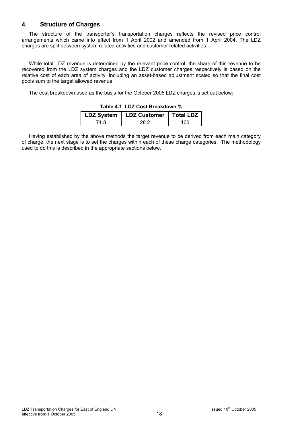# **4. Structure of Charges**

The structure of the transporter's transportation charges reflects the revised price control arrangements which came into effect from 1 April 2002 and amended from 1 April 2004. The LDZ charges are split between system related activities and customer related activities.

While total LDZ revenue is determined by the relevant price control, the share of this revenue to be recovered from the LDZ system charges and the LDZ customer charges respectively is based on the relative cost of each area of activity, including an asset-based adjustment scaled so that the final cost pools sum to the target allowed revenue.

The cost breakdown used as the basis for the October 2005 LDZ charges is set out below:

| LDZ System   LDZ Customer   Total LDZ |             |
|---------------------------------------|-------------|
|                                       | $^{\prime}$ |

### **Table 4.1 LDZ Cost Breakdown %**

Having established by the above methods the target revenue to be derived from each main category of charge, the next stage is to set the charges within each of these charge categories. The methodology used to do this is described in the appropriate sections below.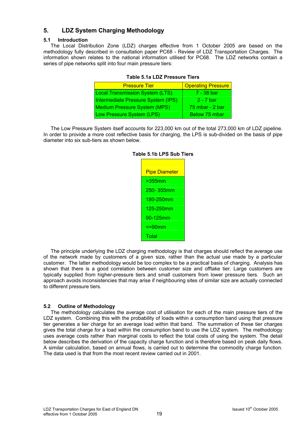# **5. LDZ System Charging Methodology**

# **5.1 Introduction**

The Local Distribution Zone (LDZ) charges effective from 1 October 2005 are based on the methodology fully described in consultation paper PC68 - Review of LDZ Transportation Charges. The information shown relates to the national information utilised for PC68. The LDZ networks contain a series of pipe networks split into four main pressure tiers:

| <b>Pressure Tier</b>                   | <b>Operating Pressure</b> |
|----------------------------------------|---------------------------|
| <b>Local Transmission System (LTS)</b> | 7 - 38 bar                |
| Intermediate Pressure System (IPS)     | 2 - 7 bar                 |
| <b>Medium Pressure System (MPS)</b>    | 75 mbar - 2 bar           |
| Low Pressure System (LPS)              | Below 75 mbar             |

# **Table 5.1a LDZ Pressure Tiers**

The Low Pressure System itself accounts for 223,000 km out of the total 273,000 km of LDZ pipeline. In order to provide a more cost reflective basis for charging, the LPS is sub-divided on the basis of pipe diameter into six sub-tiers as shown below.

| <b>Pipe Diameter</b> |
|----------------------|
| $>355$ mm            |
| 250-355mm            |
| 180-250mm            |
| 125-250mm            |
| 90-125mm             |
| <=90mm               |
| Total                |

# **Table 5.1b LPS Sub Tiers**

The principle underlying the LDZ charging methodology is that charges should reflect the average use of the network made by customers of a given size, rather than the actual use made by a particular customer. The latter methodology would be too complex to be a practical basis of charging. Analysis has shown that there is a good correlation between customer size and offtake tier. Large customers are typically supplied from higher-pressure tiers and small customers from lower pressure tiers. Such an approach avoids inconsistencies that may arise if neighbouring sites of similar size are actually connected to different pressure tiers.

# **5.2 Outline of Methodology**

The methodology calculates the average cost of utilisation for each of the main pressure tiers of the LDZ system. Combining this with the probability of loads within a consumption band using that pressure tier generates a tier charge for an average load within that band. The summation of these tier charges gives the total charge for a load within the consumption band to use the LDZ system. The methodology uses average costs rather than marginal costs to reflect the total costs of using the system. The detail below describes the derivation of the capacity charge function and is therefore based on peak daily flows. A similar calculation, based on annual flows, is carried out to determine the commodity charge function. The data used is that from the most recent review carried out in 2001.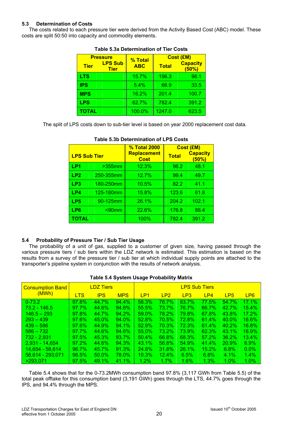# **5.3 Determination of Costs**

The costs related to each pressure tier were derived from the Activity Based Cost (ABC) model. These costs are split 50:50 into capacity and commodity elements.

| <b>Pressure</b> |                               | % Total    | <b>Cost (£M)</b> |                          |  |  |
|-----------------|-------------------------------|------------|------------------|--------------------------|--|--|
| <b>Tier</b>     | <b>LPS Sub</b><br><b>Tier</b> | <b>ABC</b> | <b>Total</b>     | <b>Capacity</b><br>(50%) |  |  |
| LTS             |                               | 15.7%      | 196.3            | 98.1                     |  |  |
| <b>IPS</b>      |                               | 5.4%       | 66.9             | 33.5                     |  |  |
| <b>MPS</b>      |                               | 16.2%      | 201.4            | 100.7                    |  |  |
| <b>LPS</b>      |                               | 62.7%      | 782.4            | 391.2                    |  |  |
| ΤΟΤΑL           |                               | 100.0%     | 1247.0           | 623.5                    |  |  |

# **Table 5.3a Determination of Tier Costs**

The split of LPS costs down to sub-tier level is based on year 2000 replacement cost data.

|                     |           | <b>% Total 2000</b>               |              | <b>Cost (£M)</b>         |
|---------------------|-----------|-----------------------------------|--------------|--------------------------|
| <b>LPS Sub Tier</b> |           | <b>Replacement</b><br><b>Cost</b> | <b>Total</b> | <b>Capacity</b><br>(50%) |
| LP <sub>1</sub>     | $>355$ mm | 12.3%                             | 96.2         | 48.1                     |
| LP <sub>2</sub>     | 250-355mm | 12.7%                             | 99.4         | 49.7                     |
| LP <sub>3</sub>     | 180-250mm | 10.5%                             | 82.2         | 41.1                     |
| LP4                 | 125-180mm | 15.8%                             | 123.6        | 61.8                     |
| LP <sub>5</sub>     | 90-125mm  | 26.1%                             | 204.2        | 102.1                    |
| LP6                 | $< 90$ mm | 22.6%                             | 176.8        | 88.4                     |
| <b>TOTAL</b>        |           | 100%                              | 782.4        | 391.2                    |

# **Table 5.3b Determination of LPS Costs**

# **5.4 Probability of Pressure Tier / Sub Tier Usage**

The probability of a unit of gas, supplied to a customer of given size, having passed through the various pressure tiers / sub tiers within the LDZ network is estimated. This estimation is based on the results from a survey of the pressure tier / sub tier at which individual supply points are attached to the transporter's pipeline system in conjunction with the results of network analysis.

# **Table 5.4 System Usage Probability Matrix**

| <b>Consumption Band</b> |            | <b>LDZ Tiers</b> |            | <b>LPS Sub Tiers</b> |                 |              |              |                 |                 |  |
|-------------------------|------------|------------------|------------|----------------------|-----------------|--------------|--------------|-----------------|-----------------|--|
| (MWh)                   | <b>LTS</b> | <b>IPS</b>       | <b>MPS</b> | LP <sub>1</sub>      | LP <sub>2</sub> | LP3          | LP4          | LP <sub>5</sub> | LP <sub>6</sub> |  |
| $  0 - 73.2  $          | 97.8%      | 44.7%            | 94.4%      | 56.3%                | 76.7%           | 83.7%        | 77.5%        | 54.7%           | 17.1%           |  |
| $73.2 - 146.5$          | 97.7%      | 44.6%            | 94.6%      | 55.5%                | 73.7%           | 76.7%        | 66.7%        | 42.7%           | 15.4%           |  |
| $146.5 - 293$           | 97.8%      | 44.7%            | 94.2%      | $59.0\%$             | 78.2%           | 79.8%        | <b>67.8%</b> | 43.8%           | 17.2%           |  |
| $293 - 439$             | 97.6%      | $45.0\%$         | 94.0%      | $52.8\%$             | 70.5%           | <b>72.8%</b> | 61.4%        | $40.0\%$        | 16.6%           |  |
| $439 - 586$             | 97.6%      | 44.9%            | $94.1\%$   | 52.9%                | 70.3%           | 72.3%        | 61.4%        | 40.2%           | 16.8%           |  |
| $586 - 732$             | 97.7%      | 44.6%            | 94.6%      | $55.0\%$             | 73.2%           | 73.9%        | <b>62.3%</b> | 43.1%           | 16.9%           |  |
| 732 - 2,931             | 97.5%      | 45.3%            | $93.7\%$   | $50.4\%$             | 66.8%           | <b>68.3%</b> | $57.2\%$     | 36.2%           | $13.4\%$        |  |
| 2.931 - 14.654          | $97.2\%$   | 44.6%            | 94.3%      | $43.1\%$             | 56.8%           | 54.9%        | 41.4%        | 20.9%           | $6.9\%$         |  |
| 14,654 - 58,614         | 96.7%      | 45.7%            | 91.3%      | $24.8\%$             | 31.8%           | 26.1%        | 15.2%        | $6.8\%$         | $0.0\%$         |  |
| 58,614 - 293,071        | 96.5%      | $50.0\%$         | 78.0%      | $10.3\%$             | $12.4\%$        | 6.5%         | $6.8\%$      | 4.1%            | $1.4\%$         |  |
| >293.071                | 97.5%      | 49.1%            | $41.1\%$   | 1.2%                 | 1.7%            | $1.6\%$      | 1.3%         | 1.0%            | 1.0%            |  |

Table 5.4 shows that for the 0-73.2MWh consumption band 97.8% (3,117 GWh from Table 5.5) of the total peak offtake for this consumption band (3,191 GWh) goes through the LTS, 44.7% goes through the IPS, and 94.4% through the MPS.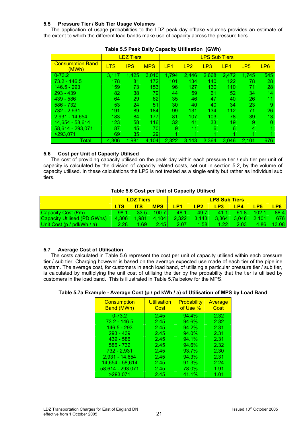# **5.5 Pressure Tier / Sub Tier Usage Volumes**

The application of usage probabilities to the LDZ peak day offtake volumes provides an estimate of the extent to which the different load bands make use of capacity across the pressure tiers.

|                                  |            | <b>LDZ Tiers</b> |            | <b>LPS Sub Tiers</b> |                 |       |       |                 |                 |
|----------------------------------|------------|------------------|------------|----------------------|-----------------|-------|-------|-----------------|-----------------|
| <b>Consumption Band</b><br>(MWh) | <b>LTS</b> | <b>IPS</b>       | <b>MPS</b> | LP <sub>1</sub>      | LP <sub>2</sub> | LP3   | LP4   | LP <sub>5</sub> | LP <sub>6</sub> |
| $0 - 73.2$                       | 3.117      | 1,425            | 3,010      | 1,794                | 2,446           | 2,668 | 2,472 | 1,745           | 545             |
| 73.2 - 146.5                     | 178        | 81               | 172        | 101                  | 134             | 140   | 122   | 78              | 28              |
| 146.5 - 293                      | 159        | 73               | 153        | 96                   | 127             | 130   | 110   | 71              | 28              |
| $293 - 439$                      | 82         | 38               | 79         | 44                   | 59              | 61    | 52    | 34              | 14              |
| $439 - 586$                      | 64         | 29               | 62         | 35                   | 46              | 47    | 40    | 26              | 11              |
| $586 - 732$                      | 53         | 24               | 51         | 30                   | 40              | 40    | 34    | 23              | 9               |
| 732 - 2.931                      | 191        | 89               | 184        | 99                   | 131             | 134   | 112   | 71              | 26              |
| 2.931 - 14.654                   | 183        | 84               | 177        | 81                   | 107             | 103   | 78    | 39              | 13              |
| 14,654 - 58,614                  | 123        | 58               | 116        | 32                   | 41              | 33    | 19    | 9               | $\Omega$        |
| 58,614 - 293,071                 | 87         | 45               | 70         | 9                    | 11              | 6     | 6     | 4               |                 |
| >293.071                         | 69         | 35               | 29         | ◢                    |                 |       |       |                 |                 |
| Total                            | 4,306      | 1,981            | 4,104      | 2,322                | 3,143           | 3,364 | 3,046 | 2,101           | 676             |

| Table 5.5 Peak Daily Capacity Utilisation (GWh) |  |  |
|-------------------------------------------------|--|--|
|-------------------------------------------------|--|--|

# **5.6 Cost per Unit of Capacity Utilised**

The cost of providing capacity utilised on the peak day within each pressure tier / sub tier per unit of capacity is calculated by the division of capacity related costs, set out in section 5.2, by the volume of capacity utilised. In these calculations the LPS is not treated as a single entity but rather as individual sub tiers.

# **Table 5.6 Cost per Unit of Capacity Utilised**

|                                    | <b>LDZ Tiers</b> |            |            | <b>LPS Sub Tiers</b> |                 |                   |                |                 |                 |
|------------------------------------|------------------|------------|------------|----------------------|-----------------|-------------------|----------------|-----------------|-----------------|
|                                    |                  | <b>ITS</b> | <b>MPS</b> | LP <sub>1</sub>      | LP <sub>2</sub> | LP <sub>3</sub>   | LP4            | LP <sub>5</sub> | LP <sub>6</sub> |
| <b>Capacity Cost (£m)</b>          | 98.1             | 33.5       | 10071      | 48.1                 | 49.7            | 411               | 61.8           | 102.1           | 88.4            |
| <b>Capacity Utilised (PD GWhs)</b> | 4.306            | 1.981      | 4.104      | 2,322                | $\sqrt{3.143}$  | 3.364             | $\sqrt{3.046}$ | 2.101           | <b>676</b>      |
| Unit Cost (p / pdkWh / a)          | 2.28             | 169.       | 2.45       | 2.07                 | 1.58            | 1.22 <sub>1</sub> | 2.03           | 4.86            | 13.081          |

# **5.7 Average Cost of Utilisation**

The costs calculated in Table 5.6 represent the cost per unit of capacity utilised within each pressure tier / sub tier. Charging however is based on the average expected use made of each tier of the pipeline system. The average cost, for customers in each load band, of utilising a particular pressure tier / sub tier, is calculated by multiplying the unit cost of utilising the tier by the probability that the tier is utilised by customers in the load band. This is illustrated in Table 5.7a below for the MPS.

# **Table 5.7a Example - Average Cost (p / pd kWh / a) of Utilisation of MPS by Load Band**

| <b>Consumption</b><br><b>Band (MWh)</b> | <b>Utilisation</b><br>Cost | <b>Probability</b><br>of Use % | Average<br>Cost |
|-----------------------------------------|----------------------------|--------------------------------|-----------------|
| $0 - 73.2$                              | 2.45                       | 94.4%                          | 2.32            |
| $73.2 - 146.5$                          | 2.45                       | 94.6%                          | 2.32            |
| $146.5 - 293$                           | 2.45                       | 94.2%                          | 2.31            |
| $293 - 439$                             | 2.45                       | $94.0\%$                       | 2.31            |
| $439 - 586$                             | 2.45                       | 94.1%                          | 2.31            |
| $586 - 732$                             | 2.45                       | 94.6%                          | 2.32            |
| 732 - 2,931                             | 2.45                       | 93.7%                          | 2.30            |
| 2,931 - 14,654                          | 2.45                       | 94.3%                          | 2.31            |
| 14,654 - 58,614                         | 2.45                       | 91.3%                          | 2.24            |
| 58,614 - 293,071                        | 2.45                       | 78.0%                          | 1.91            |
| >293.071                                | 2.45                       | 41.1%                          | 1.01            |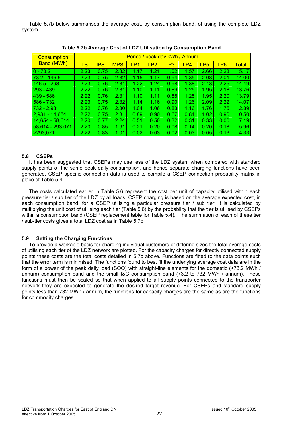Table 5.7b below summarises the average cost, by consumption band, of using the complete LDZ system.

| <b>Consumption</b> | Pence / peak day kWh / Annum |            |            |      |                 |      |      |                 |                 |              |
|--------------------|------------------------------|------------|------------|------|-----------------|------|------|-----------------|-----------------|--------------|
| <b>Band (MWh)</b>  | <b>LTS</b>                   | <b>IPS</b> | <b>MPS</b> | LP1  | LP <sub>2</sub> | LP3  | LP4  | LP <sub>5</sub> | LP <sub>6</sub> | <b>Total</b> |
| $ 0 - 73.2 $       | 2.23                         | 0.75       | 2.32       | 1.17 | 1.21            | 1.02 | 1.57 | 2.66            | 2.23            | 15.17        |
| $73.2 - 146.5$     | 2.23                         | 0.75       | 2.32       | 1.15 | 1.17            | 0.94 | 1.35 | 2.08            | 2.01            | 14.00        |
| $146.5 - 293$      | 2.23                         | 0.76       | 2.31       | 1.22 | 1.24            | 0.98 | 1.38 | 2.13            | 2.25            | 14.49        |
| 293 - 439          | 2.22                         | 0.76       | 2.31       | 1.10 | 1.11            | 0.89 | 1.25 | 1.95            | 2.18            | 13.76        |
| $439 - 586$        | 2.22                         | 0.76       | 2.31       | 1.10 | 1.11            | 0.88 | 1.25 | 1.95            | 2.20            | 13.79        |
| $586 - 732$        | 2.23                         | 0.75       | 2.32       | 1.14 | 1.16            | 0.90 | 1.26 | 2.09            | 2.22            | 14.07        |
| $732 - 2,931$      | 2.22                         | 0.76       | 2.30       | 1.04 | 1.06            | 0.83 | 1.16 | 1.76            | 1.75            | 12.89        |
| $2,931 - 14,654$   | 2.22                         | 0.75       | 2.31       | 0.89 | 0.90            | 0.67 | 0.84 | 1.02            | 0.90            | 10.50        |
| 14,654 - 58,614    | 2.20                         | 0.77       | 2.24       | 0.51 | 0.50            | 0.32 | 0.31 | 0.33            | 0.00            | 7.19         |
| 58,614 - 293,071   | 2.20                         | 0.85       | 1.91       | 0.21 | 0.20            | 0.08 | 0.14 | 0.20            | 0.18            | 5.96         |
| > 293,071          | 2.22                         | 0.83       | 1.01       | 0.02 | 0.03            | 0.02 | 0.03 | 0.05            | 0.13            | 4.33         |

**Table 5.7b Average Cost of LDZ Utilisation by Consumption Band** 

# **5.8 CSEPs**

It has been suggested that CSEPs may use less of the LDZ system when compared with standard supply points of the same peak daily consumption, and hence separate charging functions have been generated. CSEP specific connection data is used to compile a CSEP connection probability matrix in place of Table 5.4.

The costs calculated earlier in Table 5.6 represent the cost per unit of capacity utilised within each pressure tier / sub tier of the LDZ by all loads. CSEP charging is based on the average expected cost, in each consumption band, for a CSEP utilising a particular pressure tier / sub tier. It is calculated by multiplying the unit cost of utilising each tier (Table 5.6) by the probability that the tier is utilised by CSEPs within a consumption band (CSEP replacement table for Table 5.4). The summation of each of these tier / sub-tier costs gives a total LDZ cost as in Table 5.7b.

# **5.9 Setting the Charging Functions**

To provide a workable basis for charging individual customers of differing sizes the total average costs of utilising each tier of the LDZ network are plotted. For the capacity charges for directly connected supply points these costs are the total costs detailed in 5.7b above. Functions are fitted to the data points such that the error term is minimised. The functions found to best fit the underlying average cost data are in the form of a power of the peak daily load (SOQ) with straight-line elements for the domestic (<73.2 MWh / annum) consumption band and the small I&C consumption band (73.2 to 732 MWh / annum). These functions must then be scaled so that when applied to all supply points connected to the transporter network they are expected to generate the desired target revenue. For CSEPs and standard supply points less than 732 MWh / annum, the functions for capacity charges are the same as are the functions for commodity charges.